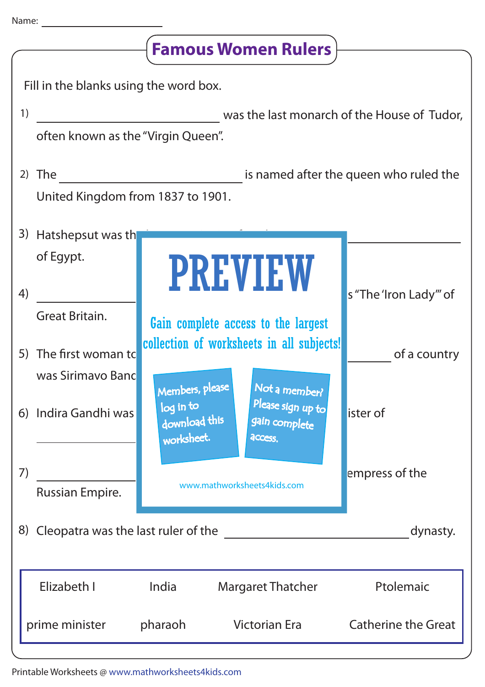| <b>Famous Women Rulers</b>             |                                                                                   |                                                                                  |  |                                                                |                            |
|----------------------------------------|-----------------------------------------------------------------------------------|----------------------------------------------------------------------------------|--|----------------------------------------------------------------|----------------------------|
| Fill in the blanks using the word box. |                                                                                   |                                                                                  |  |                                                                |                            |
| 1)                                     | was the last monarch of the House of Tudor,<br>often known as the "Virgin Queen". |                                                                                  |  |                                                                |                            |
|                                        | 2) The<br>United Kingdom from 1837 to 1901.                                       | is named after the queen who ruled the                                           |  |                                                                |                            |
|                                        | 3) Hatshepsut was th                                                              |                                                                                  |  |                                                                |                            |
| 4)                                     | of Egypt.                                                                         |                                                                                  |  | <b>PREVIEW</b>                                                 | s "The 'Iron Lady" of      |
|                                        | Great Britain.<br>5) The first woman to                                           | Gain complete access to the largest<br>collection of worksheets in all subjects! |  |                                                                | of a country               |
|                                        | was Sirimavo Banc<br>6) Indira Gandhi was                                         | Members, please<br>log in to<br>download this<br>worksheet.                      |  | Not a member?<br>Please sign up to<br>gain complete<br>access. | lister of                  |
| 7)                                     | Russian Empire.                                                                   | www.mathworksheets4kids.com                                                      |  |                                                                | empress of the             |
| 8) Cleopatra was the last ruler of the |                                                                                   |                                                                                  |  |                                                                | dynasty.                   |
|                                        | Elizabeth I                                                                       | India                                                                            |  | <b>Margaret Thatcher</b>                                       | Ptolemaic                  |
|                                        | prime minister                                                                    | pharaoh                                                                          |  | <b>Victorian Era</b>                                           | <b>Catherine the Great</b> |